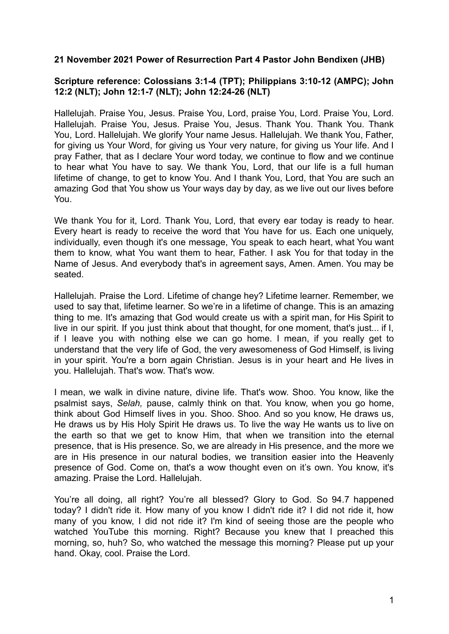## **21 November 2021 Power of Resurrection Part 4 Pastor John Bendixen (JHB)**

## **Scripture reference: Colossians 3:1-4 (TPT); Philippians 3:10-12 (AMPC); John 12:2 (NLT); John 12:1-7 (NLT); John 12:24-26 (NLT)**

Hallelujah. Praise You, Jesus. Praise You, Lord, praise You, Lord. Praise You, Lord. Hallelujah. Praise You, Jesus. Praise You, Jesus. Thank You. Thank You. Thank You, Lord. Hallelujah. We glorify Your name Jesus. Hallelujah. We thank You, Father, for giving us Your Word, for giving us Your very nature, for giving us Your life. And I pray Father, that as I declare Your word today, we continue to flow and we continue to hear what You have to say. We thank You, Lord, that our life is a full human lifetime of change, to get to know You. And I thank You, Lord, that You are such an amazing God that You show us Your ways day by day, as we live out our lives before You.

We thank You for it, Lord. Thank You, Lord, that every ear today is ready to hear. Every heart is ready to receive the word that You have for us. Each one uniquely, individually, even though it's one message, You speak to each heart, what You want them to know, what You want them to hear, Father. I ask You for that today in the Name of Jesus. And everybody that's in agreement says, Amen. Amen. You may be seated.

Hallelujah. Praise the Lord. Lifetime of change hey? Lifetime learner. Remember, we used to say that, lifetime learner. So we're in a lifetime of change. This is an amazing thing to me. It's amazing that God would create us with a spirit man, for His Spirit to live in our spirit. If you just think about that thought, for one moment, that's just... if I, if I leave you with nothing else we can go home. I mean, if you really get to understand that the very life of God, the very awesomeness of God Himself, is living in your spirit. You're a born again Christian. Jesus is in your heart and He lives in you. Hallelujah. That's wow. That's wow.

I mean, we walk in divine nature, divine life. That's wow. Shoo. You know, like the psalmist says, *Selah,* pause, calmly think on that. You know, when you go home, think about God Himself lives in you. Shoo. Shoo. And so you know, He draws us, He draws us by His Holy Spirit He draws us. To live the way He wants us to live on the earth so that we get to know Him, that when we transition into the eternal presence, that is His presence. So, we are already in His presence, and the more we are in His presence in our natural bodies, we transition easier into the Heavenly presence of God. Come on, that's a wow thought even on it's own. You know, it's amazing. Praise the Lord. Hallelujah.

You're all doing, all right? You're all blessed? Glory to God. So 94.7 happened today? I didn't ride it. How many of you know I didn't ride it? I did not ride it, how many of you know, I did not ride it? I'm kind of seeing those are the people who watched YouTube this morning. Right? Because you knew that I preached this morning, so, huh? So, who watched the message this morning? Please put up your hand. Okay, cool. Praise the Lord.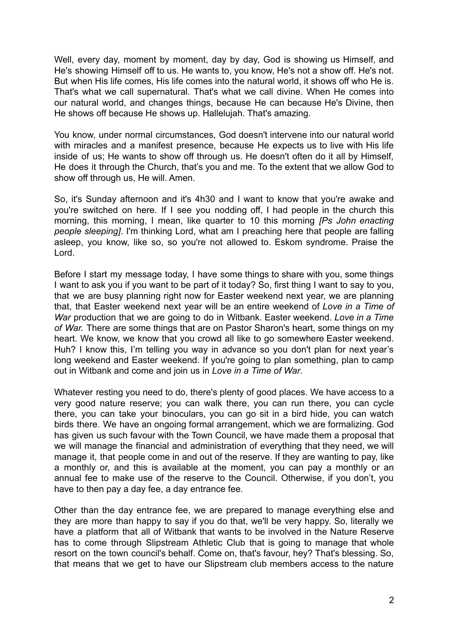Well, every day, moment by moment, day by day, God is showing us Himself, and He's showing Himself off to us. He wants to, you know, He's not a show off. He's not. But when His life comes, His life comes into the natural world, it shows off who He is. That's what we call supernatural. That's what we call divine. When He comes into our natural world, and changes things, because He can because He's Divine, then He shows off because He shows up. Hallelujah. That's amazing.

You know, under normal circumstances, God doesn't intervene into our natural world with miracles and a manifest presence, because He expects us to live with His life inside of us; He wants to show off through us. He doesn't often do it all by Himself, He does it through the Church, that's you and me. To the extent that we allow God to show off through us. He will. Amen.

So, it's Sunday afternoon and it's 4h30 and I want to know that you're awake and you're switched on here. If I see you nodding off, I had people in the church this morning, this morning, I mean, like quarter to 10 this morning *[Ps John enacting people sleeping]*. I'm thinking Lord, what am I preaching here that people are falling asleep, you know, like so, so you're not allowed to. Eskom syndrome. Praise the Lord.

Before I start my message today, I have some things to share with you, some things I want to ask you if you want to be part of it today? So, first thing I want to say to you, that we are busy planning right now for Easter weekend next year, we are planning that, that Easter weekend next year will be an entire weekend of *Love in a Time of War* production that we are going to do in Witbank. Easter weekend. *Love in a Time of War.* There are some things that are on Pastor Sharon's heart, some things on my heart. We know, we know that you crowd all like to go somewhere Easter weekend. Huh? I know this, I'm telling you way in advance so you don't plan for next year's long weekend and Easter weekend. If you're going to plan something, plan to camp out in Witbank and come and join us in *Love in a Time of War*.

Whatever resting you need to do, there's plenty of good places. We have access to a very good nature reserve; you can walk there, you can run there, you can cycle there, you can take your binoculars, you can go sit in a bird hide, you can watch birds there. We have an ongoing formal arrangement, which we are formalizing. God has given us such favour with the Town Council, we have made them a proposal that we will manage the financial and administration of everything that they need, we will manage it, that people come in and out of the reserve. If they are wanting to pay, like a monthly or, and this is available at the moment, you can pay a monthly or an annual fee to make use of the reserve to the Council. Otherwise, if you don't, you have to then pay a day fee, a day entrance fee.

Other than the day entrance fee, we are prepared to manage everything else and they are more than happy to say if you do that, we'll be very happy. So, literally we have a platform that all of Witbank that wants to be involved in the Nature Reserve has to come through Slipstream Athletic Club that is going to manage that whole resort on the town council's behalf. Come on, that's favour, hey? That's blessing. So, that means that we get to have our Slipstream club members access to the nature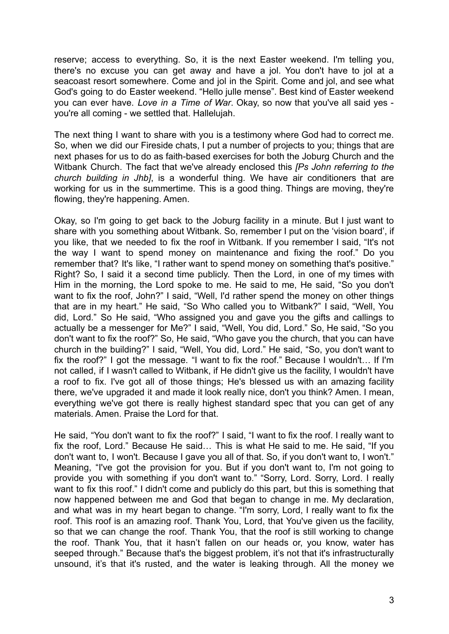reserve; access to everything. So, it is the next Easter weekend. I'm telling you, there's no excuse you can get away and have a jol. You don't have to jol at a seacoast resort somewhere. Come and jol in the Spirit. Come and jol, and see what God's going to do Easter weekend. "Hello julle mense". Best kind of Easter weekend you can ever have. *Love in a Time of War*. Okay, so now that you've all said yes you're all coming - we settled that. Hallelujah.

The next thing I want to share with you is a testimony where God had to correct me. So, when we did our Fireside chats, I put a number of projects to you; things that are next phases for us to do as faith-based exercises for both the Joburg Church and the Witbank Church. The fact that we've already enclosed this *[Ps John referring to the church building in Jhb]*, is a wonderful thing. We have air conditioners that are working for us in the summertime. This is a good thing. Things are moving, they're flowing, they're happening. Amen.

Okay, so I'm going to get back to the Joburg facility in a minute. But I just want to share with you something about Witbank. So, remember I put on the 'vision board', if you like, that we needed to fix the roof in Witbank. If you remember I said, "It's not the way I want to spend money on maintenance and fixing the roof." Do you remember that? It's like, "I rather want to spend money on something that's positive." Right? So, I said it a second time publicly. Then the Lord, in one of my times with Him in the morning, the Lord spoke to me. He said to me, He said, "So you don't want to fix the roof, John?" I said, "Well, I'd rather spend the money on other things that are in my heart." He said, "So Who called you to Witbank?" I said, "Well, You did, Lord." So He said, "Who assigned you and gave you the gifts and callings to actually be a messenger for Me?" I said, "Well, You did, Lord." So, He said, "So you don't want to fix the roof?" So, He said, "Who gave you the church, that you can have church in the building?" I said, "Well, You did, Lord." He said, "So, you don't want to fix the roof?" I got the message. "I want to fix the roof." Because I wouldn't… If I'm not called, if I wasn't called to Witbank, if He didn't give us the facility, I wouldn't have a roof to fix. I've got all of those things; He's blessed us with an amazing facility there, we've upgraded it and made it look really nice, don't you think? Amen. I mean, everything we've got there is really highest standard spec that you can get of any materials. Amen. Praise the Lord for that.

He said, "You don't want to fix the roof?" I said, "I want to fix the roof. I really want to fix the roof, Lord." Because He said… This is what He said to me. He said, "If you don't want to, I won't. Because I gave you all of that. So, if you don't want to, I won't." Meaning, "I've got the provision for you. But if you don't want to, I'm not going to provide you with something if you don't want to." "Sorry, Lord. Sorry, Lord. I really want to fix this roof." I didn't come and publicly do this part, but this is something that now happened between me and God that began to change in me. My declaration, and what was in my heart began to change. "I'm sorry, Lord, I really want to fix the roof. This roof is an amazing roof. Thank You, Lord, that You've given us the facility, so that we can change the roof. Thank You, that the roof is still working to change the roof. Thank You, that it hasn't fallen on our heads or, you know, water has seeped through." Because that's the biggest problem, it's not that it's infrastructurally unsound, it's that it's rusted, and the water is leaking through. All the money we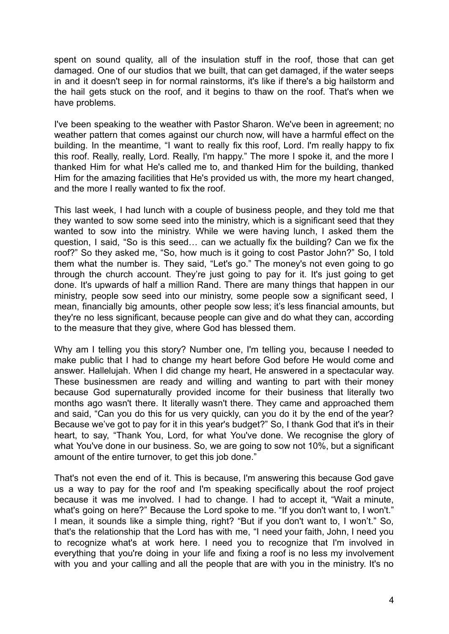spent on sound quality, all of the insulation stuff in the roof, those that can get damaged. One of our studios that we built, that can get damaged, if the water seeps in and it doesn't seep in for normal rainstorms, it's like if there's a big hailstorm and the hail gets stuck on the roof, and it begins to thaw on the roof. That's when we have problems.

I've been speaking to the weather with Pastor Sharon. We've been in agreement; no weather pattern that comes against our church now, will have a harmful effect on the building. In the meantime, "I want to really fix this roof, Lord. I'm really happy to fix this roof. Really, really, Lord. Really, I'm happy." The more I spoke it, and the more I thanked Him for what He's called me to, and thanked Him for the building, thanked Him for the amazing facilities that He's provided us with, the more my heart changed, and the more I really wanted to fix the roof.

This last week, I had lunch with a couple of business people, and they told me that they wanted to sow some seed into the ministry, which is a significant seed that they wanted to sow into the ministry. While we were having lunch, I asked them the question, I said, "So is this seed… can we actually fix the building? Can we fix the roof?" So they asked me, "So, how much is it going to cost Pastor John?" So, I told them what the number is. They said, "Let's go." The money's not even going to go through the church account. They're just going to pay for it. It's just going to get done. It's upwards of half a million Rand. There are many things that happen in our ministry, people sow seed into our ministry, some people sow a significant seed, I mean, financially big amounts, other people sow less; it's less financial amounts, but they're no less significant, because people can give and do what they can, according to the measure that they give, where God has blessed them.

Why am I telling you this story? Number one, I'm telling you, because I needed to make public that I had to change my heart before God before He would come and answer. Hallelujah. When I did change my heart, He answered in a spectacular way. These businessmen are ready and willing and wanting to part with their money because God supernaturally provided income for their business that literally two months ago wasn't there. It literally wasn't there. They came and approached them and said, "Can you do this for us very quickly, can you do it by the end of the year? Because we've got to pay for it in this year's budget?" So, I thank God that it's in their heart, to say, "Thank You, Lord, for what You've done. We recognise the glory of what You've done in our business. So, we are going to sow not 10%, but a significant amount of the entire turnover, to get this job done."

That's not even the end of it. This is because, I'm answering this because God gave us a way to pay for the roof and I'm speaking specifically about the roof project because it was me involved. I had to change. I had to accept it, "Wait a minute, what's going on here?" Because the Lord spoke to me. "If you don't want to, I won't." I mean, it sounds like a simple thing, right? "But if you don't want to, I won't." So, that's the relationship that the Lord has with me, "I need your faith, John, I need you to recognize what's at work here. I need you to recognize that I'm involved in everything that you're doing in your life and fixing a roof is no less my involvement with you and your calling and all the people that are with you in the ministry. It's no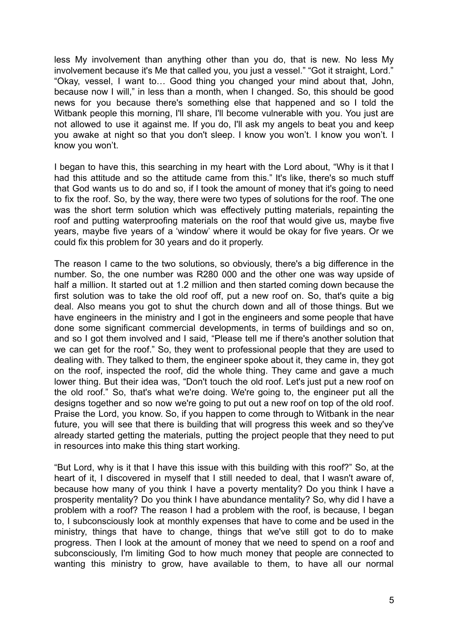less My involvement than anything other than you do, that is new. No less My involvement because it's Me that called you, you just a vessel." "Got it straight, Lord." "Okay, vessel, I want to… Good thing you changed your mind about that, John, because now I will," in less than a month, when I changed. So, this should be good news for you because there's something else that happened and so I told the Witbank people this morning. I'll share, I'll become vulnerable with you. You just are not allowed to use it against me. If you do, I'll ask my angels to beat you and keep you awake at night so that you don't sleep. I know you won't. I know you won't. I know you won't.

I began to have this, this searching in my heart with the Lord about, "Why is it that I had this attitude and so the attitude came from this." It's like, there's so much stuff that God wants us to do and so, if I took the amount of money that it's going to need to fix the roof. So, by the way, there were two types of solutions for the roof. The one was the short term solution which was effectively putting materials, repainting the roof and putting waterproofing materials on the roof that would give us, maybe five years, maybe five years of a 'window' where it would be okay for five years. Or we could fix this problem for 30 years and do it properly.

The reason I came to the two solutions, so obviously, there's a big difference in the number. So, the one number was R280 000 and the other one was way upside of half a million. It started out at 1.2 million and then started coming down because the first solution was to take the old roof off, put a new roof on. So, that's quite a big deal. Also means you got to shut the church down and all of those things. But we have engineers in the ministry and I got in the engineers and some people that have done some significant commercial developments, in terms of buildings and so on, and so I got them involved and I said, "Please tell me if there's another solution that we can get for the roof." So, they went to professional people that they are used to dealing with. They talked to them, the engineer spoke about it, they came in, they got on the roof, inspected the roof, did the whole thing. They came and gave a much lower thing. But their idea was, "Don't touch the old roof. Let's just put a new roof on the old roof." So, that's what we're doing. We're going to, the engineer put all the designs together and so now we're going to put out a new roof on top of the old roof. Praise the Lord, you know. So, if you happen to come through to Witbank in the near future, you will see that there is building that will progress this week and so they've already started getting the materials, putting the project people that they need to put in resources into make this thing start working.

"But Lord, why is it that I have this issue with this building with this roof?" So, at the heart of it, I discovered in myself that I still needed to deal, that I wasn't aware of, because how many of you think I have a poverty mentality? Do you think I have a prosperity mentality? Do you think I have abundance mentality? So, why did I have a problem with a roof? The reason I had a problem with the roof, is because, I began to, I subconsciously look at monthly expenses that have to come and be used in the ministry, things that have to change, things that we've still got to do to make progress. Then I look at the amount of money that we need to spend on a roof and subconsciously, I'm limiting God to how much money that people are connected to wanting this ministry to grow, have available to them, to have all our normal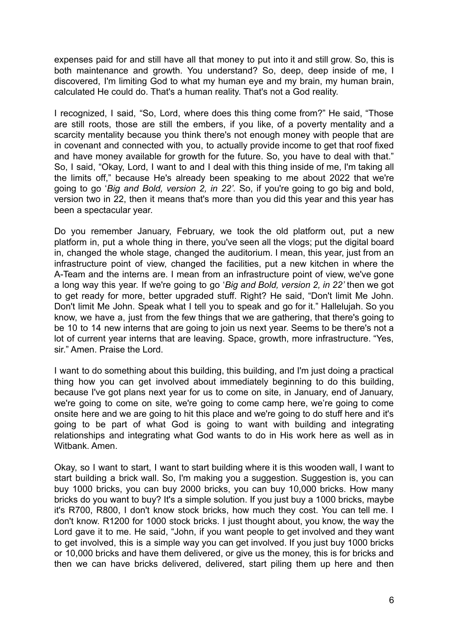expenses paid for and still have all that money to put into it and still grow. So, this is both maintenance and growth. You understand? So, deep, deep inside of me, I discovered, I'm limiting God to what my human eye and my brain, my human brain, calculated He could do. That's a human reality. That's not a God reality.

I recognized, I said, "So, Lord, where does this thing come from?" He said, "Those are still roots, those are still the embers, if you like, of a poverty mentality and a scarcity mentality because you think there's not enough money with people that are in covenant and connected with you, to actually provide income to get that roof fixed and have money available for growth for the future. So, you have to deal with that." So, I said, "Okay, Lord, I want to and I deal with this thing inside of me, I'm taking all the limits off," because He's already been speaking to me about 2022 that we're going to go '*Big and Bold, version 2, in 22'.* So, if you're going to go big and bold, version two in 22, then it means that's more than you did this year and this year has been a spectacular year.

Do you remember January, February, we took the old platform out, put a new platform in, put a whole thing in there, you've seen all the vlogs; put the digital board in, changed the whole stage, changed the auditorium. I mean, this year, just from an infrastructure point of view, changed the facilities, put a new kitchen in where the A-Team and the interns are. I mean from an infrastructure point of view, we've gone a long way this year. If we're going to go '*Big and Bold, version 2, in 22'* then we got to get ready for more, better upgraded stuff. Right? He said, "Don't limit Me John. Don't limit Me John. Speak what I tell you to speak and go for it." Hallelujah. So you know, we have a, just from the few things that we are gathering, that there's going to be 10 to 14 new interns that are going to join us next year. Seems to be there's not a lot of current year interns that are leaving. Space, growth, more infrastructure. "Yes, sir." Amen. Praise the Lord.

I want to do something about this building, this building, and I'm just doing a practical thing how you can get involved about immediately beginning to do this building, because I've got plans next year for us to come on site, in January, end of January, we're going to come on site, we're going to come camp here, we're going to come onsite here and we are going to hit this place and we're going to do stuff here and it's going to be part of what God is going to want with building and integrating relationships and integrating what God wants to do in His work here as well as in Witbank. Amen.

Okay, so I want to start, I want to start building where it is this wooden wall, I want to start building a brick wall. So, I'm making you a suggestion. Suggestion is, you can buy 1000 bricks, you can buy 2000 bricks, you can buy 10,000 bricks. How many bricks do you want to buy? It's a simple solution. If you just buy a 1000 bricks, maybe it's R700, R800, I don't know stock bricks, how much they cost. You can tell me. I don't know. R1200 for 1000 stock bricks. I just thought about, you know, the way the Lord gave it to me. He said, "John, if you want people to get involved and they want to get involved, this is a simple way you can get involved. If you just buy 1000 bricks or 10,000 bricks and have them delivered, or give us the money, this is for bricks and then we can have bricks delivered, delivered, start piling them up here and then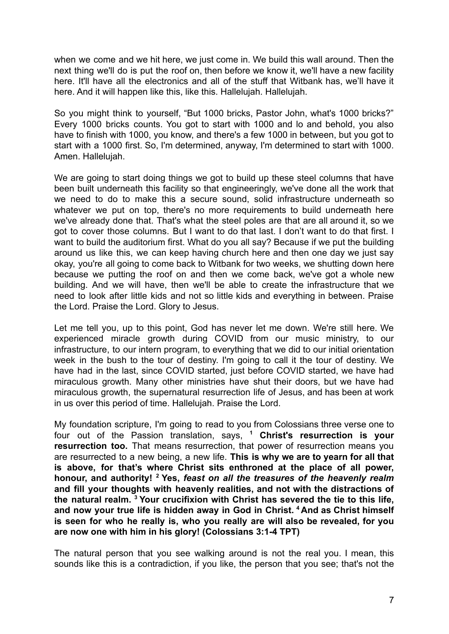when we come and we hit here, we just come in. We build this wall around. Then the next thing we'll do is put the roof on, then before we know it, we'll have a new facility here. It'll have all the electronics and all of the stuff that Witbank has, we'll have it here. And it will happen like this, like this. Hallelujah. Hallelujah.

So you might think to yourself, "But 1000 bricks, Pastor John, what's 1000 bricks?" Every 1000 bricks counts. You got to start with 1000 and lo and behold, you also have to finish with 1000, you know, and there's a few 1000 in between, but you got to start with a 1000 first. So, I'm determined, anyway, I'm determined to start with 1000. Amen. Hallelujah.

We are going to start doing things we got to build up these steel columns that have been built underneath this facility so that engineeringly, we've done all the work that we need to do to make this a secure sound, solid infrastructure underneath so whatever we put on top, there's no more requirements to build underneath here we've already done that. That's what the steel poles are that are all around it, so we got to cover those columns. But I want to do that last. I don't want to do that first. I want to build the auditorium first. What do you all say? Because if we put the building around us like this, we can keep having church here and then one day we just say okay, you're all going to come back to Witbank for two weeks, we shutting down here because we putting the roof on and then we come back, we've got a whole new building. And we will have, then we'll be able to create the infrastructure that we need to look after little kids and not so little kids and everything in between. Praise the Lord. Praise the Lord. Glory to Jesus.

Let me tell you, up to this point, God has never let me down. We're still here. We experienced miracle growth during COVID from our music ministry, to our infrastructure, to our intern program, to everything that we did to our initial orientation week in the bush to the tour of destiny. I'm going to call it the tour of destiny. We have had in the last, since COVID started, just before COVID started, we have had miraculous growth. Many other ministries have shut their doors, but we have had miraculous growth, the supernatural resurrection life of Jesus, and has been at work in us over this period of time. Hallelujah. Praise the Lord.

My foundation scripture, I'm going to read to you from Colossians three verse one to four out of the Passion translation, says, **<sup>1</sup> Christ's resurrection is your resurrection too.** That means resurrection, that power of resurrection means you are resurrected to a new being, a new life. **This is why we are to yearn for all that is above, for that's where Christ sits enthroned at the place of all power, honour, and authority! <sup>2</sup> Yes,** *feast on all the treasures of the heavenly realm* **and fill your thoughts with heavenly realities, and not with the distractions of the natural realm. <sup>3</sup> Your crucifixion with Christ has severed the tie to this life, and now your true life is hidden away in God in Christ. <sup>4</sup> And as Christ himself is seen for who he really is, who you really are will also be revealed, for you are now one with him in his glory! (Colossians 3:1-4 TPT)**

The natural person that you see walking around is not the real you. I mean, this sounds like this is a contradiction, if you like, the person that you see; that's not the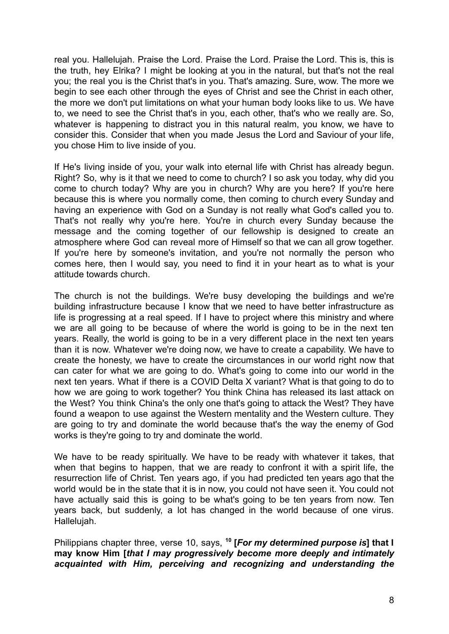real you. Hallelujah. Praise the Lord. Praise the Lord. Praise the Lord. This is, this is the truth, hey Elrika? I might be looking at you in the natural, but that's not the real you; the real you is the Christ that's in you. That's amazing. Sure, wow. The more we begin to see each other through the eyes of Christ and see the Christ in each other, the more we don't put limitations on what your human body looks like to us. We have to, we need to see the Christ that's in you, each other, that's who we really are. So, whatever is happening to distract you in this natural realm, you know, we have to consider this. Consider that when you made Jesus the Lord and Saviour of your life, you chose Him to live inside of you.

If He's living inside of you, your walk into eternal life with Christ has already begun. Right? So, why is it that we need to come to church? I so ask you today, why did you come to church today? Why are you in church? Why are you here? If you're here because this is where you normally come, then coming to church every Sunday and having an experience with God on a Sunday is not really what God's called you to. That's not really why you're here. You're in church every Sunday because the message and the coming together of our fellowship is designed to create an atmosphere where God can reveal more of Himself so that we can all grow together. If you're here by someone's invitation, and you're not normally the person who comes here, then I would say, you need to find it in your heart as to what is your attitude towards church.

The church is not the buildings. We're busy developing the buildings and we're building infrastructure because I know that we need to have better infrastructure as life is progressing at a real speed. If I have to project where this ministry and where we are all going to be because of where the world is going to be in the next ten years. Really, the world is going to be in a very different place in the next ten years than it is now. Whatever we're doing now, we have to create a capability. We have to create the honesty, we have to create the circumstances in our world right now that can cater for what we are going to do. What's going to come into our world in the next ten years. What if there is a COVID Delta X variant? What is that going to do to how we are going to work together? You think China has released its last attack on the West? You think China's the only one that's going to attack the West? They have found a weapon to use against the Western mentality and the Western culture. They are going to try and dominate the world because that's the way the enemy of God works is they're going to try and dominate the world.

We have to be ready spiritually. We have to be ready with whatever it takes, that when that begins to happen, that we are ready to confront it with a spirit life, the resurrection life of Christ. Ten years ago, if you had predicted ten years ago that the world would be in the state that it is in now, you could not have seen it. You could not have actually said this is going to be what's going to be ten years from now. Ten years back, but suddenly, a lot has changed in the world because of one virus. Hallelujah.

Philippians chapter three, verse 10, says, **<sup>10</sup> [***For my determined purpose is***] that I may know Him [***that I may progressively become more deeply and intimately acquainted with Him, perceiving and recognizing and understanding the*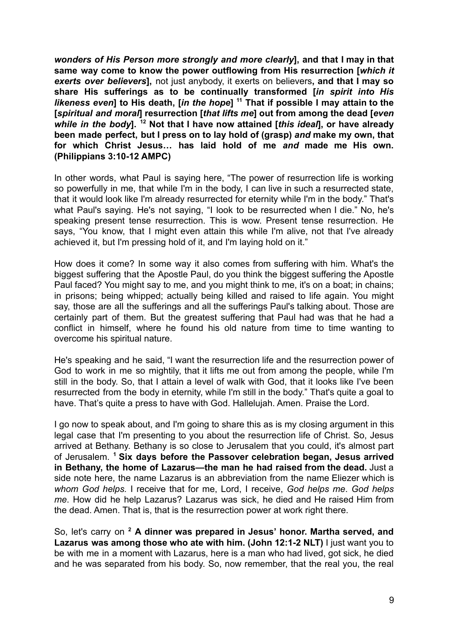*wonders of His Person more strongly and more clearly***], and that I may in that same way come to know the power outflowing from His resurrection [***which it exerts over believers***],** not just anybody, it exerts on believers**, and that I may so share His sufferings as to be continually transformed [***in spirit into His likeness even***] to His death, [***in the hope***] <sup>11</sup> That if possible I may attain to the [***spiritual and moral***] resurrection [***that lifts me***] out from among the dead [***even while in the body***]. <sup>12</sup> Not that I have now attained [***this ideal***], or have already been made perfect, but I press on to lay hold of (grasp)** *and* **make my own, that for which Christ Jesus… has laid hold of me** *and* **made me His own. (Philippians 3:10-12 AMPC)**

In other words, what Paul is saying here, "The power of resurrection life is working so powerfully in me, that while I'm in the body, I can live in such a resurrected state, that it would look like I'm already resurrected for eternity while I'm in the body." That's what Paul's saying. He's not saying, "I look to be resurrected when I die." No, he's speaking present tense resurrection. This is wow. Present tense resurrection. He says, "You know, that I might even attain this while I'm alive, not that I've already achieved it, but I'm pressing hold of it, and I'm laying hold on it."

How does it come? In some way it also comes from suffering with him. What's the biggest suffering that the Apostle Paul, do you think the biggest suffering the Apostle Paul faced? You might say to me, and you might think to me, it's on a boat; in chains; in prisons; being whipped; actually being killed and raised to life again. You might say, those are all the sufferings and all the sufferings Paul's talking about. Those are certainly part of them. But the greatest suffering that Paul had was that he had a conflict in himself, where he found his old nature from time to time wanting to overcome his spiritual nature.

He's speaking and he said, "I want the resurrection life and the resurrection power of God to work in me so mightily, that it lifts me out from among the people, while I'm still in the body. So, that I attain a level of walk with God, that it looks like I've been resurrected from the body in eternity, while I'm still in the body." That's quite a goal to have. That's quite a press to have with God. Hallelujah. Amen. Praise the Lord.

I go now to speak about, and I'm going to share this as is my closing argument in this legal case that I'm presenting to you about the resurrection life of Christ. So, Jesus arrived at Bethany. Bethany is so close to Jerusalem that you could, it's almost part of Jerusalem. **<sup>1</sup> Six days before the Passover celebration began, Jesus arrived in Bethany, the home of Lazarus—the man he had raised from the dead.** Just a side note here, the name Lazarus is an abbreviation from the name Eliezer which is *whom God helps.* I receive that for me, Lord, I receive, *God helps me*. *God helps me*. How did he help Lazarus? Lazarus was sick, he died and He raised Him from the dead. Amen. That is, that is the resurrection power at work right there.

So, let's carry on **<sup>2</sup> A dinner was prepared in Jesus' honor. Martha served, and Lazarus was among those who ate with him. (John 12:1-2 NLT)** I just want you to be with me in a moment with Lazarus, here is a man who had lived, got sick, he died and he was separated from his body. So, now remember, that the real you, the real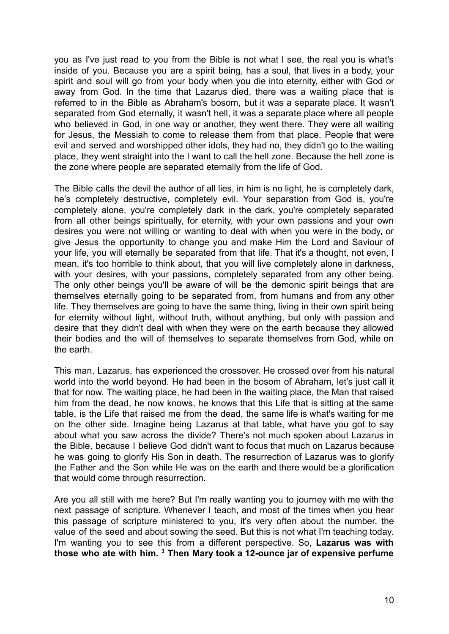you as I've just read to you from the Bible is not what I see, the real you is what's inside of you. Because you are a spirit being, has a soul, that lives in a body, your spirit and soul will go from your body when you die into eternity, either with God or away from God. In the time that Lazarus died, there was a waiting place that is referred to in the Bible as Abraham's bosom, but it was a separate place. It wasn't separated from God eternally, it wasn't hell, it was a separate place where all people who believed in God, in one way or another, they went there. They were all waiting for Jesus, the Messiah to come to release them from that place. People that were evil and served and worshipped other idols, they had no, they didn't go to the waiting place, they went straight into the I want to call the hell zone. Because the hell zone is the zone where people are separated eternally from the life of God.

The Bible calls the devil the author of all lies, in him is no light, he is completely dark, he's completely destructive, completely evil. Your separation from God is, you're completely alone, you're completely dark in the dark, you're completely separated from all other beings spiritually, for eternity, with your own passions and your own desires you were not willing or wanting to deal with when you were in the body, or give Jesus the opportunity to change you and make Him the Lord and Saviour of your life, you will eternally be separated from that life. That it's a thought, not even, I mean, it's too horrible to think about, that you will live completely alone in darkness, with your desires, with your passions, completely separated from any other being. The only other beings you'll be aware of will be the demonic spirit beings that are themselves eternally going to be separated from, from humans and from any other life. They themselves are going to have the same thing, living in their own spirit being for eternity without light, without truth, without anything, but only with passion and desire that they didn't deal with when they were on the earth because they allowed their bodies and the will of themselves to separate themselves from God, while on the earth.

This man, Lazarus, has experienced the crossover. He crossed over from his natural world into the world beyond. He had been in the bosom of Abraham, let's just call it that for now. The waiting place, he had been in the waiting place, the Man that raised him from the dead, he now knows, he knows that this Life that is sitting at the same table, is the Life that raised me from the dead, the same life is what's waiting for me on the other side. Imagine being Lazarus at that table, what have you got to say about what you saw across the divide? There's not much spoken about Lazarus in the Bible, because I believe God didn't want to focus that much on Lazarus because he was going to glorify His Son in death. The resurrection of Lazarus was to glorify the Father and the Son while He was on the earth and there would be a glorification that would come through resurrection.

Are you all still with me here? But I'm really wanting you to journey with me with the next passage of scripture. Whenever I teach, and most of the times when you hear this passage of scripture ministered to you, it's very often about the number, the value of the seed and about sowing the seed. But this is not what I'm teaching today. I'm wanting you to see this from a different perspective. So, **Lazarus was with those who ate with him. <sup>3</sup> Then Mary took a 12-ounce jar of expensive perfume**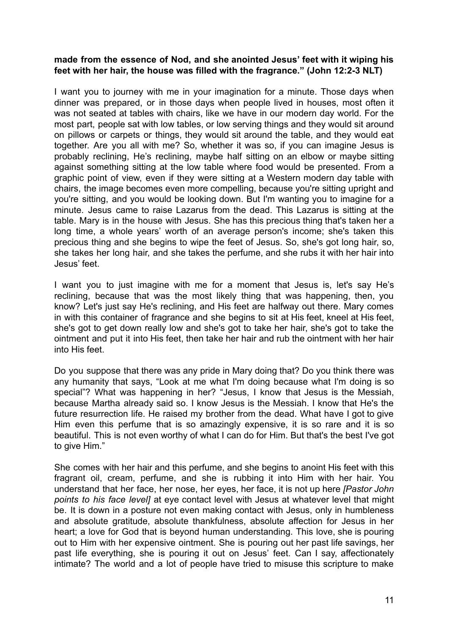## **made from the essence of Nod, and she anointed Jesus' feet with it wiping his feet with her hair, the house was filled with the fragrance." (John 12:2-3 NLT)**

I want you to journey with me in your imagination for a minute. Those days when dinner was prepared, or in those days when people lived in houses, most often it was not seated at tables with chairs, like we have in our modern day world. For the most part, people sat with low tables, or low serving things and they would sit around on pillows or carpets or things, they would sit around the table, and they would eat together. Are you all with me? So, whether it was so, if you can imagine Jesus is probably reclining, He's reclining, maybe half sitting on an elbow or maybe sitting against something sitting at the low table where food would be presented. From a graphic point of view, even if they were sitting at a Western modern day table with chairs, the image becomes even more compelling, because you're sitting upright and you're sitting, and you would be looking down. But I'm wanting you to imagine for a minute. Jesus came to raise Lazarus from the dead. This Lazarus is sitting at the table. Mary is in the house with Jesus. She has this precious thing that's taken her a long time, a whole years' worth of an average person's income; she's taken this precious thing and she begins to wipe the feet of Jesus. So, she's got long hair, so, she takes her long hair, and she takes the perfume, and she rubs it with her hair into Jesus' feet.

I want you to just imagine with me for a moment that Jesus is, let's say He's reclining, because that was the most likely thing that was happening, then, you know? Let's just say He's reclining, and His feet are halfway out there. Mary comes in with this container of fragrance and she begins to sit at His feet, kneel at His feet, she's got to get down really low and she's got to take her hair, she's got to take the ointment and put it into His feet, then take her hair and rub the ointment with her hair into His feet.

Do you suppose that there was any pride in Mary doing that? Do you think there was any humanity that says, "Look at me what I'm doing because what I'm doing is so special"? What was happening in her? "Jesus, I know that Jesus is the Messiah, because Martha already said so. I know Jesus is the Messiah. I know that He's the future resurrection life. He raised my brother from the dead. What have I got to give Him even this perfume that is so amazingly expensive, it is so rare and it is so beautiful. This is not even worthy of what I can do for Him. But that's the best I've got to give Him."

She comes with her hair and this perfume, and she begins to anoint His feet with this fragrant oil, cream, perfume, and she is rubbing it into Him with her hair. You understand that her face, her nose, her eyes, her face, it is not up here *[Pastor John points to his face level]* at eye contact level with Jesus at whatever level that might be. It is down in a posture not even making contact with Jesus, only in humbleness and absolute gratitude, absolute thankfulness, absolute affection for Jesus in her heart; a love for God that is beyond human understanding. This love, she is pouring out to Him with her expensive ointment. She is pouring out her past life savings, her past life everything, she is pouring it out on Jesus' feet. Can I say, affectionately intimate? The world and a lot of people have tried to misuse this scripture to make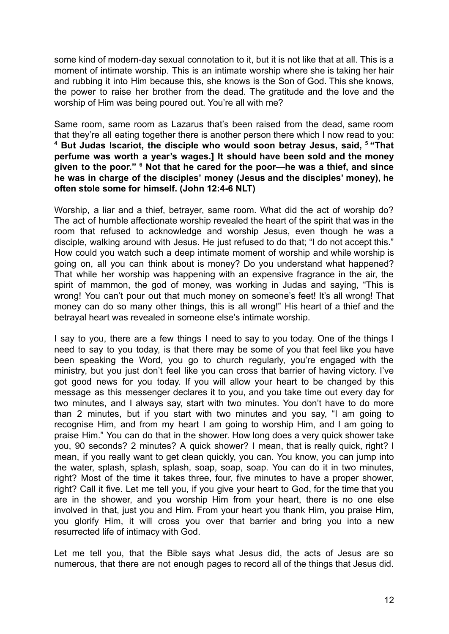some kind of modern-day sexual connotation to it, but it is not like that at all. This is a moment of intimate worship. This is an intimate worship where she is taking her hair and rubbing it into Him because this, she knows is the Son of God. This she knows, the power to raise her brother from the dead. The gratitude and the love and the worship of Him was being poured out. You're all with me?

Same room, same room as Lazarus that's been raised from the dead, same room that they're all eating together there is another person there which I now read to you: **<sup>4</sup> But Judas Iscariot, the disciple who would soon betray Jesus, said, <sup>5</sup> "That perfume was worth a year's wages.] It should have been sold and the money given to the poor." <sup>6</sup> Not that he cared for the poor—he was a thief, and since he was in charge of the disciples' money (Jesus and the disciples' money), he often stole some for himself. (John 12:4-6 NLT)**

Worship, a liar and a thief, betrayer, same room. What did the act of worship do? The act of humble affectionate worship revealed the heart of the spirit that was in the room that refused to acknowledge and worship Jesus, even though he was a disciple, walking around with Jesus. He just refused to do that; "I do not accept this." How could you watch such a deep intimate moment of worship and while worship is going on, all you can think about is money? Do you understand what happened? That while her worship was happening with an expensive fragrance in the air, the spirit of mammon, the god of money, was working in Judas and saying, "This is wrong! You can't pour out that much money on someone's feet! It's all wrong! That money can do so many other things, this is all wrong!" His heart of a thief and the betrayal heart was revealed in someone else's intimate worship.

I say to you, there are a few things I need to say to you today. One of the things I need to say to you today, is that there may be some of you that feel like you have been speaking the Word, you go to church regularly, you're engaged with the ministry, but you just don't feel like you can cross that barrier of having victory. I've got good news for you today. If you will allow your heart to be changed by this message as this messenger declares it to you, and you take time out every day for two minutes, and I always say, start with two minutes. You don't have to do more than 2 minutes, but if you start with two minutes and you say, "I am going to recognise Him, and from my heart I am going to worship Him, and I am going to praise Him." You can do that in the shower. How long does a very quick shower take you, 90 seconds? 2 minutes? A quick shower? I mean, that is really quick, right? I mean, if you really want to get clean quickly, you can. You know, you can jump into the water, splash, splash, splash, soap, soap, soap. You can do it in two minutes, right? Most of the time it takes three, four, five minutes to have a proper shower, right? Call it five. Let me tell you, if you give your heart to God, for the time that you are in the shower, and you worship Him from your heart, there is no one else involved in that, just you and Him. From your heart you thank Him, you praise Him, you glorify Him, it will cross you over that barrier and bring you into a new resurrected life of intimacy with God.

Let me tell you, that the Bible says what Jesus did, the acts of Jesus are so numerous, that there are not enough pages to record all of the things that Jesus did.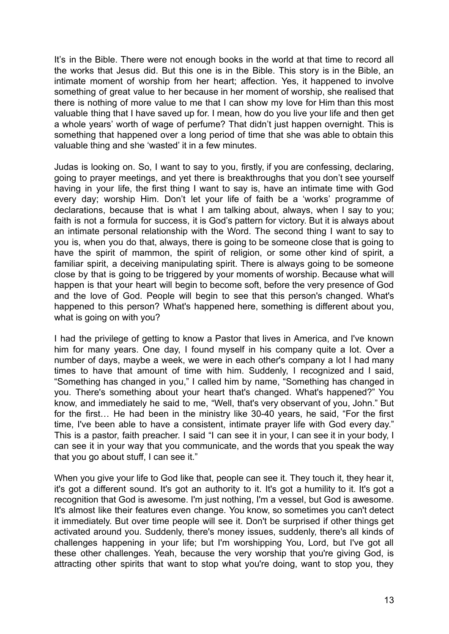It's in the Bible. There were not enough books in the world at that time to record all the works that Jesus did. But this one is in the Bible. This story is in the Bible, an intimate moment of worship from her heart; affection. Yes, it happened to involve something of great value to her because in her moment of worship, she realised that there is nothing of more value to me that I can show my love for Him than this most valuable thing that I have saved up for. I mean, how do you live your life and then get a whole years' worth of wage of perfume? That didn't just happen overnight. This is something that happened over a long period of time that she was able to obtain this valuable thing and she 'wasted' it in a few minutes.

Judas is looking on. So, I want to say to you, firstly, if you are confessing, declaring, going to prayer meetings, and yet there is breakthroughs that you don't see yourself having in your life, the first thing I want to say is, have an intimate time with God every day; worship Him. Don't let your life of faith be a 'works' programme of declarations, because that is what I am talking about, always, when I say to you; faith is not a formula for success, it is God's pattern for victory. But it is always about an intimate personal relationship with the Word. The second thing I want to say to you is, when you do that, always, there is going to be someone close that is going to have the spirit of mammon, the spirit of religion, or some other kind of spirit, a familiar spirit, a deceiving manipulating spirit. There is always going to be someone close by that is going to be triggered by your moments of worship. Because what will happen is that your heart will begin to become soft, before the very presence of God and the love of God. People will begin to see that this person's changed. What's happened to this person? What's happened here, something is different about you, what is going on with you?

I had the privilege of getting to know a Pastor that lives in America, and I've known him for many years. One day, I found myself in his company quite a lot. Over a number of days, maybe a week, we were in each other's company a lot I had many times to have that amount of time with him. Suddenly, I recognized and I said, "Something has changed in you," I called him by name, "Something has changed in you. There's something about your heart that's changed. What's happened?" You know, and immediately he said to me, "Well, that's very observant of you, John." But for the first… He had been in the ministry like 30-40 years, he said, "For the first time, I've been able to have a consistent, intimate prayer life with God every day." This is a pastor, faith preacher. I said "I can see it in your, I can see it in your body, I can see it in your way that you communicate, and the words that you speak the way that you go about stuff, I can see it."

When you give your life to God like that, people can see it. They touch it, they hear it, it's got a different sound. It's got an authority to it. It's got a humility to it. It's got a recognition that God is awesome. I'm just nothing, I'm a vessel, but God is awesome. It's almost like their features even change. You know, so sometimes you can't detect it immediately. But over time people will see it. Don't be surprised if other things get activated around you. Suddenly, there's money issues, suddenly, there's all kinds of challenges happening in your life; but I'm worshipping You, Lord, but I've got all these other challenges. Yeah, because the very worship that you're giving God, is attracting other spirits that want to stop what you're doing, want to stop you, they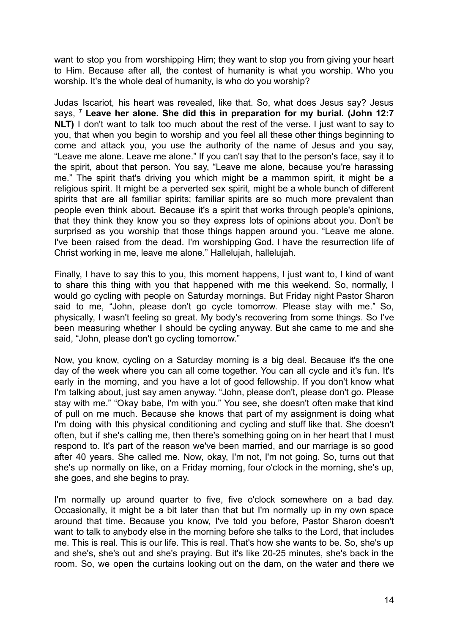want to stop you from worshipping Him; they want to stop you from giving your heart to Him. Because after all, the contest of humanity is what you worship. Who you worship. It's the whole deal of humanity, is who do you worship?

Judas Iscariot, his heart was revealed, like that. So, what does Jesus say? Jesus says, **<sup>7</sup> Leave her alone. She did this in preparation for my burial. (John 12:7 NLT)** I don't want to talk too much about the rest of the verse. I just want to say to you, that when you begin to worship and you feel all these other things beginning to come and attack you, you use the authority of the name of Jesus and you say, "Leave me alone. Leave me alone." If you can't say that to the person's face, say it to the spirit, about that person. You say, "Leave me alone, because you're harassing me." The spirit that's driving you which might be a mammon spirit, it might be a religious spirit. It might be a perverted sex spirit, might be a whole bunch of different spirits that are all familiar spirits; familiar spirits are so much more prevalent than people even think about. Because it's a spirit that works through people's opinions, that they think they know you so they express lots of opinions about you. Don't be surprised as you worship that those things happen around you. "Leave me alone. I've been raised from the dead. I'm worshipping God. I have the resurrection life of Christ working in me, leave me alone." Hallelujah, hallelujah.

Finally, I have to say this to you, this moment happens, I just want to, I kind of want to share this thing with you that happened with me this weekend. So, normally, I would go cycling with people on Saturday mornings. But Friday night Pastor Sharon said to me, "John, please don't go cycle tomorrow. Please stay with me." So, physically, I wasn't feeling so great. My body's recovering from some things. So I've been measuring whether I should be cycling anyway. But she came to me and she said, "John, please don't go cycling tomorrow."

Now, you know, cycling on a Saturday morning is a big deal. Because it's the one day of the week where you can all come together. You can all cycle and it's fun. It's early in the morning, and you have a lot of good fellowship. If you don't know what I'm talking about, just say amen anyway. "John, please don't, please don't go. Please stay with me." "Okay babe, I'm with you." You see, she doesn't often make that kind of pull on me much. Because she knows that part of my assignment is doing what I'm doing with this physical conditioning and cycling and stuff like that. She doesn't often, but if she's calling me, then there's something going on in her heart that I must respond to. It's part of the reason we've been married, and our marriage is so good after 40 years. She called me. Now, okay, I'm not, I'm not going. So, turns out that she's up normally on like, on a Friday morning, four o'clock in the morning, she's up, she goes, and she begins to pray.

I'm normally up around quarter to five, five o'clock somewhere on a bad day. Occasionally, it might be a bit later than that but I'm normally up in my own space around that time. Because you know, I've told you before, Pastor Sharon doesn't want to talk to anybody else in the morning before she talks to the Lord, that includes me. This is real. This is our life. This is real. That's how she wants to be. So, she's up and she's, she's out and she's praying. But it's like 20-25 minutes, she's back in the room. So, we open the curtains looking out on the dam, on the water and there we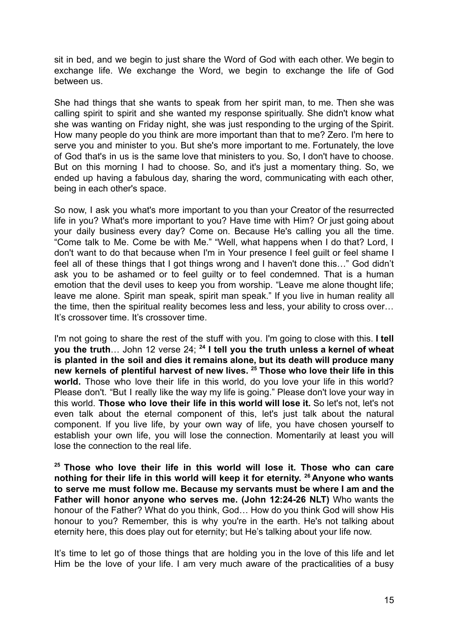sit in bed, and we begin to just share the Word of God with each other. We begin to exchange life. We exchange the Word, we begin to exchange the life of God between us.

She had things that she wants to speak from her spirit man, to me. Then she was calling spirit to spirit and she wanted my response spiritually. She didn't know what she was wanting on Friday night, she was just responding to the urging of the Spirit. How many people do you think are more important than that to me? Zero. I'm here to serve you and minister to you. But she's more important to me. Fortunately, the love of God that's in us is the same love that ministers to you. So, I don't have to choose. But on this morning I had to choose. So, and it's just a momentary thing. So, we ended up having a fabulous day, sharing the word, communicating with each other, being in each other's space.

So now, I ask you what's more important to you than your Creator of the resurrected life in you? What's more important to you? Have time with Him? Or just going about your daily business every day? Come on. Because He's calling you all the time. "Come talk to Me. Come be with Me." "Well, what happens when I do that? Lord, I don't want to do that because when I'm in Your presence I feel guilt or feel shame I feel all of these things that I got things wrong and I haven't done this…" God didn't ask you to be ashamed or to feel guilty or to feel condemned. That is a human emotion that the devil uses to keep you from worship. "Leave me alone thought life; leave me alone. Spirit man speak, spirit man speak." If you live in human reality all the time, then the spiritual reality becomes less and less, your ability to cross over… It's crossover time. It's crossover time.

I'm not going to share the rest of the stuff with you. I'm going to close with this. **I tell you the truth**… John 12 verse 24; **<sup>24</sup> I tell you the truth unless a kernel of wheat is planted in the soil and dies it remains alone, but its death will produce many new kernels of plentiful harvest of new lives. <sup>25</sup> Those who love their life in this world.** Those who love their life in this world, do you love your life in this world? Please don't. "But I really like the way my life is going." Please don't love your way in this world. **Those who love their life in this world will lose it.** So let's not, let's not even talk about the eternal component of this, let's just talk about the natural component. If you live life, by your own way of life, you have chosen yourself to establish your own life, you will lose the connection. Momentarily at least you will lose the connection to the real life.

**<sup>25</sup> Those who love their life in this world will lose it. Those who can care nothing for their life in this world will keep it for eternity. <sup>26</sup> Anyone who wants to serve me must follow me. Because my servants must be where I am and the Father will honor anyone who serves me. (John 12:24-26 NLT)** Who wants the honour of the Father? What do you think, God… How do you think God will show His honour to you? Remember, this is why you're in the earth. He's not talking about eternity here, this does play out for eternity; but He's talking about your life now.

It's time to let go of those things that are holding you in the love of this life and let Him be the love of your life. I am very much aware of the practicalities of a busy